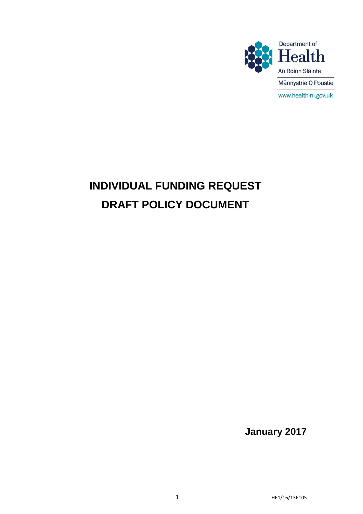

# **INDIVIDUAL FUNDING REQUEST DRAFT POLICY DOCUMENT**

**January 2017**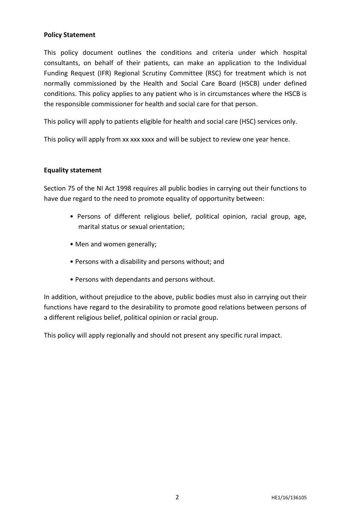#### **Policy Statement**

This policy document outlines the conditions and criteria under which hospital consultants, on behalf of their patients, can make an application to the Individual Funding Request (IFR) Regional Scrutiny Committee (RSC) for treatment which is not normally commissioned by the Health and Social Care Board (HSCB) under defined conditions. This policy applies to any patient who is in circumstances where the HSCB is the responsible commissioner for health and social care for that person.

This policy will apply to patients eligible for health and social care (HSC) services only.

This policy will apply from xx xxx xxxx and will be subject to review one year hence.

### **Equality statement**

Section 75 of the NI Act 1998 requires all public bodies in carrying out their functions to have due regard to the need to promote equality of opportunity between:

- Persons of different religious belief, political opinion, racial group, age, marital status or sexual orientation;
- Men and women generally;
- Persons with a disability and persons without; and
- Persons with dependants and persons without.

In addition, without prejudice to the above, public bodies must also in carrying out their functions have regard to the desirability to promote good relations between persons of a different religious belief, political opinion or racial group.

This policy will apply regionally and should not present any specific rural impact.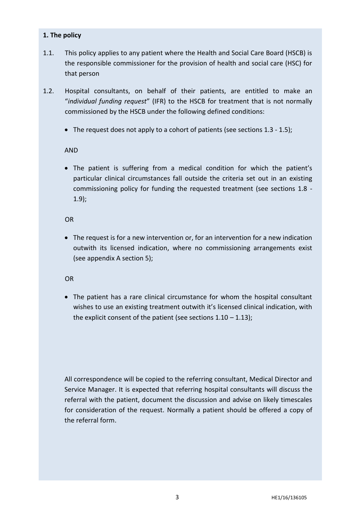#### **1. The policy**

- 1.1. This policy applies to any patient where the Health and Social Care Board (HSCB) is the responsible commissioner for the provision of health and social care (HSC) for that person
- 1.2. Hospital consultants, on behalf of their patients, are entitled to make an "*individual funding request*" (IFR) to the HSCB for treatment that is not normally commissioned by the HSCB under the following defined conditions:
	- The request does not apply to a cohort of patients (see sections 1.3 1.5);

### AND

 The patient is suffering from a medical condition for which the patient's particular clinical circumstances fall outside the criteria set out in an existing commissioning policy for funding the requested treatment (see sections 1.8 - 1.9);

### OR

 The request is for a new intervention or, for an intervention for a new indication outwith its licensed indication, where no commissioning arrangements exist (see appendix A section 5);

# **OR**

 The patient has a rare clinical circumstance for whom the hospital consultant wishes to use an existing treatment outwith it's licensed clinical indication, with the explicit consent of the patient (see sections  $1.10 - 1.13$ );

All correspondence will be copied to the referring consultant, Medical Director and Service Manager. It is expected that referring hospital consultants will discuss the referral with the patient, document the discussion and advise on likely timescales for consideration of the request. Normally a patient should be offered a copy of the referral form.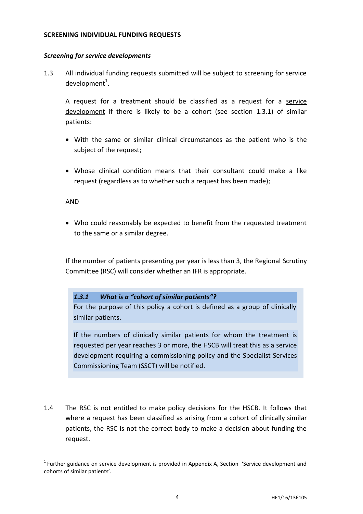#### **SCREENING INDIVIDUAL FUNDING REQUESTS**

#### *Screening for service developments*

1.3 All individual funding requests submitted will be subject to screening for service development $^1$ .

A request for a treatment should be classified as a request for a service development if there is likely to be a cohort (see section 1.3.1) of similar patients:

- With the same or similar clinical circumstances as the patient who is the subject of the request;
- Whose clinical condition means that their consultant could make a like request (regardless as to whether such a request has been made);

#### AND

1

 Who could reasonably be expected to benefit from the requested treatment to the same or a similar degree.

If the number of patients presenting per year is less than 3, the Regional Scrutiny Committee (RSC) will consider whether an IFR is appropriate.

#### *1.3.1 What is a "cohort of similar patients"?*

For the purpose of this policy a cohort is defined as a group of clinically similar patients.

If the numbers of clinically similar patients for whom the treatment is requested per year reaches 3 or more, the HSCB will treat this as a service development requiring a commissioning policy and the Specialist Services Commissioning Team (SSCT) will be notified.

1.4 The RSC is not entitled to make policy decisions for the HSCB. It follows that where a request has been classified as arising from a cohort of clinically similar patients, the RSC is not the correct body to make a decision about funding the request.

 $1$  Further guidance on service development is provided in Appendix A, Section 'Service development and cohorts of similar patients'.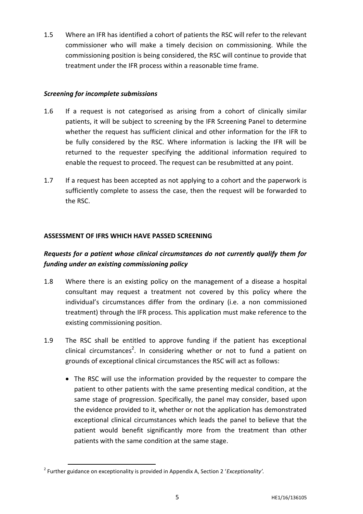1.5 Where an IFR has identified a cohort of patients the RSC will refer to the relevant commissioner who will make a timely decision on commissioning. While the commissioning position is being considered, the RSC will continue to provide that treatment under the IFR process within a reasonable time frame.

### *Screening for incomplete submissions*

- 1.6 If a request is not categorised as arising from a cohort of clinically similar patients, it will be subject to screening by the IFR Screening Panel to determine whether the request has sufficient clinical and other information for the IFR to be fully considered by the RSC. Where information is lacking the IFR will be returned to the requester specifying the additional information required to enable the request to proceed. The request can be resubmitted at any point.
- 1.7 If a request has been accepted as not applying to a cohort and the paperwork is sufficiently complete to assess the case, then the request will be forwarded to the RSC.

### **ASSESSMENT OF IFRS WHICH HAVE PASSED SCREENING**

# *Requests for a patient whose clinical circumstances do not currently qualify them for funding under an existing commissioning policy*

- 1.8 Where there is an existing policy on the management of a disease a hospital consultant may request a treatment not covered by this policy where the individual's circumstances differ from the ordinary (i.e. a non commissioned treatment) through the IFR process. This application must make reference to the existing commissioning position.
- 1.9 The RSC shall be entitled to approve funding if the patient has exceptional clinical circumstances<sup>2</sup>. In considering whether or not to fund a patient on grounds of exceptional clinical circumstances the RSC will act as follows:
	- The RSC will use the information provided by the requester to compare the patient to other patients with the same presenting medical condition, at the same stage of progression. Specifically, the panel may consider, based upon the evidence provided to it, whether or not the application has demonstrated exceptional clinical circumstances which leads the panel to believe that the patient would benefit significantly more from the treatment than other patients with the same condition at the same stage.

**.** 

<sup>2</sup> Further guidance on exceptionality is provided in Appendix A, Section 2 '*Exceptionality'.*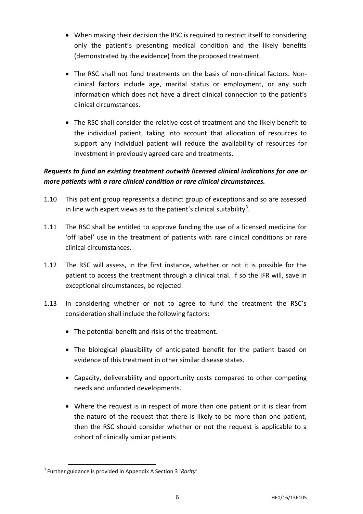- When making their decision the RSC is required to restrict itself to considering only the patient's presenting medical condition and the likely benefits (demonstrated by the evidence) from the proposed treatment.
- The RSC shall not fund treatments on the basis of non-clinical factors. Nonclinical factors include age, marital status or employment, or any such information which does not have a direct clinical connection to the patient's clinical circumstances.
- The RSC shall consider the relative cost of treatment and the likely benefit to the individual patient, taking into account that allocation of resources to support any individual patient will reduce the availability of resources for investment in previously agreed care and treatments.

# *Requests to fund an existing treatment outwith licensed clinical indications for one or more patients with a rare clinical condition or rare clinical circumstances.*

- 1.10 This patient group represents a distinct group of exceptions and so are assessed in line with expert views as to the patient's clinical suitability<sup>3</sup>.
- 1.11 The RSC shall be entitled to approve funding the use of a licensed medicine for 'off label' use in the treatment of patients with rare clinical conditions or rare clinical circumstances.
- 1.12 The RSC will assess, in the first instance, whether or not it is possible for the patient to access the treatment through a clinical trial. If so the IFR will, save in exceptional circumstances, be rejected.
- 1.13 In considering whether or not to agree to fund the treatment the RSC's consideration shall include the following factors:
	- The potential benefit and risks of the treatment.
	- The biological plausibility of anticipated benefit for the patient based on evidence of this treatment in other similar disease states.
	- Capacity, deliverability and opportunity costs compared to other competing needs and unfunded developments.
	- Where the request is in respect of more than one patient or it is clear from the nature of the request that there is likely to be more than one patient, then the RSC should consider whether or not the request is applicable to a cohort of clinically similar patients.

**<sup>.</sup>** 3 Further guidance is provided in Appendix A Section 3 '*Rarity'*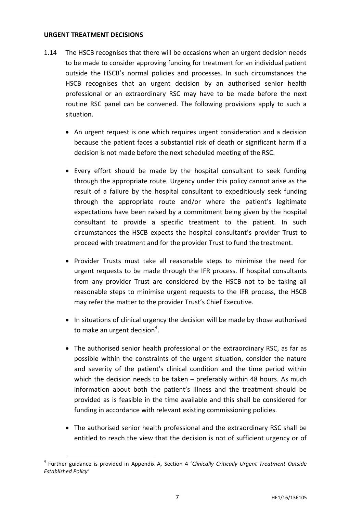#### **URGENT TREATMENT DECISIONS**

1

- 1.14 The HSCB recognises that there will be occasions when an urgent decision needs to be made to consider approving funding for treatment for an individual patient outside the HSCB's normal policies and processes. In such circumstances the HSCB recognises that an urgent decision by an authorised senior health professional or an extraordinary RSC may have to be made before the next routine RSC panel can be convened. The following provisions apply to such a situation.
	- An urgent request is one which requires urgent consideration and a decision because the patient faces a substantial risk of death or significant harm if a decision is not made before the next scheduled meeting of the RSC.
	- Every effort should be made by the hospital consultant to seek funding through the appropriate route. Urgency under this policy cannot arise as the result of a failure by the hospital consultant to expeditiously seek funding through the appropriate route and/or where the patient's legitimate expectations have been raised by a commitment being given by the hospital consultant to provide a specific treatment to the patient. In such circumstances the HSCB expects the hospital consultant's provider Trust to proceed with treatment and for the provider Trust to fund the treatment.
	- Provider Trusts must take all reasonable steps to minimise the need for urgent requests to be made through the IFR process. If hospital consultants from any provider Trust are considered by the HSCB not to be taking all reasonable steps to minimise urgent requests to the IFR process, the HSCB may refer the matter to the provider Trust's Chief Executive.
	- In situations of clinical urgency the decision will be made by those authorised to make an urgent decision<sup>4</sup>.
	- The authorised senior health professional or the extraordinary RSC, as far as possible within the constraints of the urgent situation, consider the nature and severity of the patient's clinical condition and the time period within which the decision needs to be taken – preferably within 48 hours. As much information about both the patient's illness and the treatment should be provided as is feasible in the time available and this shall be considered for funding in accordance with relevant existing commissioning policies.
	- The authorised senior health professional and the extraordinary RSC shall be entitled to reach the view that the decision is not of sufficient urgency or of

<sup>4</sup> Further guidance is provided in Appendix A, Section 4 '*Clinically Critically Urgent Treatment Outside Established Policy'*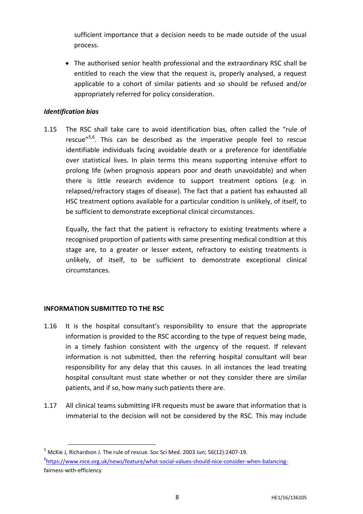sufficient importance that a decision needs to be made outside of the usual process.

 The authorised senior health professional and the extraordinary RSC shall be entitled to reach the view that the request is, properly analysed, a request applicable to a cohort of similar patients and so should be refused and/or appropriately referred for policy consideration.

### *Identification bias*

1.15 The RSC shall take care to avoid identification bias, often called the "rule of rescue<sup>"5,6</sup>. This can be described as the imperative people feel to rescue identifiable individuals facing avoidable death or a preference for identifiable over statistical lives. In plain terms this means supporting intensive effort to prolong life (when prognosis appears poor and death unavoidable) and when there is little research evidence to support treatment options (e.g. in relapsed/refractory stages of disease). The fact that a patient has exhausted all HSC treatment options available for a particular condition is unlikely, of itself, to be sufficient to demonstrate exceptional clinical circumstances.

Equally, the fact that the patient is refractory to existing treatments where a recognised proportion of patients with same presenting medical condition at this stage are, to a greater or lesser extent, refractory to existing treatments is unlikely, of itself, to be sufficient to demonstrate exceptional clinical circumstances.

# **INFORMATION SUBMITTED TO THE RSC**

1

- 1.16 It is the hospital consultant's responsibility to ensure that the appropriate information is provided to the RSC according to the type of request being made, in a timely fashion consistent with the urgency of the request. If relevant information is not submitted, then the referring hospital consultant will bear responsibility for any delay that this causes. In all instances the lead treating hospital consultant must state whether or not they consider there are similar patients, and if so, how many such patients there are.
- 1.17 All clinical teams submitting IFR requests must be aware that information that is immaterial to the decision will not be considered by the RSC. This may include

<sup>5</sup> McKie J, Richardson J. The rule of rescue. Soc Sci Med. 2003 Jun; 56(12):2407-19. 6 [https://www.nice.org.uk/news/feature/what-social-values-should-nice-consider-when-balancing](https://www.nice.org.uk/news/feature/what-social-values-should-nice-consider-when-balancing-)fairness-with-efficiency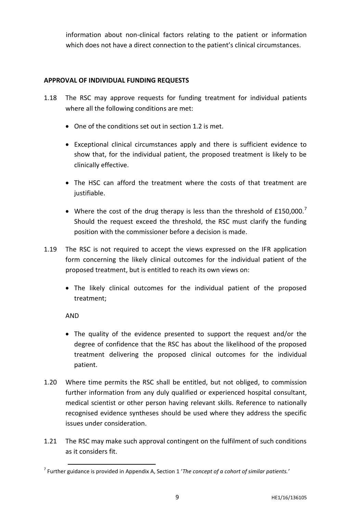information about non-clinical factors relating to the patient or information which does not have a direct connection to the patient's clinical circumstances.

### **APPROVAL OF INDIVIDUAL FUNDING REQUESTS**

- 1.18 The RSC may approve requests for funding treatment for individual patients where all the following conditions are met:
	- One of the conditions set out in section 1.2 is met.
	- Exceptional clinical circumstances apply and there is sufficient evidence to show that, for the individual patient, the proposed treatment is likely to be clinically effective.
	- The HSC can afford the treatment where the costs of that treatment are justifiable.
	- Where the cost of the drug therapy is less than the threshold of  $£150,000.^7$ Should the request exceed the threshold, the RSC must clarify the funding position with the commissioner before a decision is made.
- 1.19 The RSC is not required to accept the views expressed on the IFR application form concerning the likely clinical outcomes for the individual patient of the proposed treatment, but is entitled to reach its own views on:
	- The likely clinical outcomes for the individual patient of the proposed treatment;

AND

**.** 

- The quality of the evidence presented to support the request and/or the degree of confidence that the RSC has about the likelihood of the proposed treatment delivering the proposed clinical outcomes for the individual patient.
- 1.20 Where time permits the RSC shall be entitled, but not obliged, to commission further information from any duly qualified or experienced hospital consultant, medical scientist or other person having relevant skills. Reference to nationally recognised evidence syntheses should be used where they address the specific issues under consideration.
- 1.21 The RSC may make such approval contingent on the fulfilment of such conditions as it considers fit.

<sup>7</sup> Further guidance is provided in Appendix A, Section 1 '*The concept of a cohort of similar patients.'*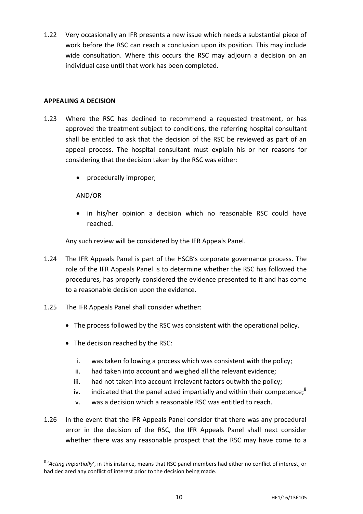1.22 Very occasionally an IFR presents a new issue which needs a substantial piece of work before the RSC can reach a conclusion upon its position. This may include wide consultation. Where this occurs the RSC may adjourn a decision on an individual case until that work has been completed.

#### **APPEALING A DECISION**

- 1.23 Where the RSC has declined to recommend a requested treatment, or has approved the treatment subject to conditions, the referring hospital consultant shall be entitled to ask that the decision of the RSC be reviewed as part of an appeal process. The hospital consultant must explain his or her reasons for considering that the decision taken by the RSC was either:
	- procedurally improper;

# AND/OR

1

 in his/her opinion a decision which no reasonable RSC could have reached.

Any such review will be considered by the IFR Appeals Panel.

- 1.24 The IFR Appeals Panel is part of the HSCB's corporate governance process. The role of the IFR Appeals Panel is to determine whether the RSC has followed the procedures, has properly considered the evidence presented to it and has come to a reasonable decision upon the evidence.
- 1.25 The IFR Appeals Panel shall consider whether:
	- The process followed by the RSC was consistent with the operational policy.
	- The decision reached by the RSC:
		- i. was taken following a process which was consistent with the policy;
		- ii. had taken into account and weighed all the relevant evidence;
		- iii. had not taken into account irrelevant factors outwith the policy;
		- iv. indicated that the panel acted impartially and within their competence;<sup>8</sup>
		- v. was a decision which a reasonable RSC was entitled to reach.
- 1.26 In the event that the IFR Appeals Panel consider that there was any procedural error in the decision of the RSC, the IFR Appeals Panel shall next consider whether there was any reasonable prospect that the RSC may have come to a

<sup>8</sup> '*Acting impartially'*, in this instance, means that RSC panel members had either no conflict of interest, or had declared any conflict of interest prior to the decision being made.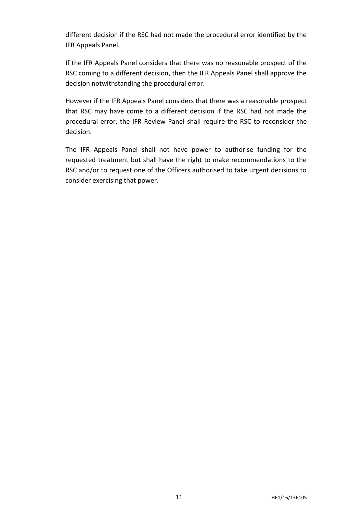different decision if the RSC had not made the procedural error identified by the IFR Appeals Panel.

If the IFR Appeals Panel considers that there was no reasonable prospect of the RSC coming to a different decision, then the IFR Appeals Panel shall approve the decision notwithstanding the procedural error.

However if the IFR Appeals Panel considers that there was a reasonable prospect that RSC may have come to a different decision if the RSC had not made the procedural error, the IFR Review Panel shall require the RSC to reconsider the decision.

The IFR Appeals Panel shall not have power to authorise funding for the requested treatment but shall have the right to make recommendations to the RSC and/or to request one of the Officers authorised to take urgent decisions to consider exercising that power.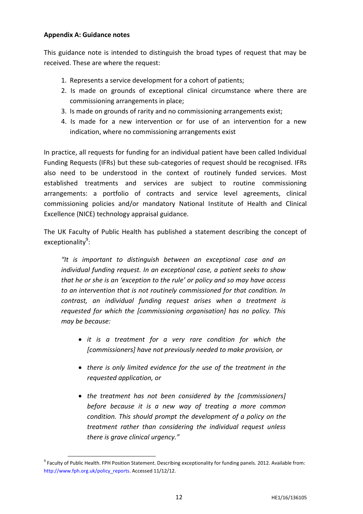#### **Appendix A: Guidance notes**

**.** 

This guidance note is intended to distinguish the broad types of request that may be received. These are where the request:

- 1. Represents a service development for a cohort of patients;
- 2. Is made on grounds of exceptional clinical circumstance where there are commissioning arrangements in place;
- 3. Is made on grounds of rarity and no commissioning arrangements exist;
- 4. Is made for a new intervention or for use of an intervention for a new indication, where no commissioning arrangements exist

In practice, all requests for funding for an individual patient have been called Individual Funding Requests (IFRs) but these sub-categories of request should be recognised. IFRs also need to be understood in the context of routinely funded services. Most established treatments and services are subject to routine commissioning arrangements: a portfolio of contracts and service level agreements, clinical commissioning policies and/or mandatory National Institute of Health and Clinical Excellence (NICE) technology appraisal guidance.

The UK Faculty of Public Health has published a statement describing the concept of exceptionality<sup>9</sup>:

*"It is important to distinguish between an exceptional case and an individual funding request. In an exceptional case, a patient seeks to show that he or she is an 'exception to the rule' or policy and so may have access to an intervention that is not routinely commissioned for that condition. In contrast, an individual funding request arises when a treatment is requested for which the [commissioning organisation] has no policy. This may be because:*

- *it is a treatment for a very rare condition for which the [commissioners] have not previously needed to make provision, or*
- *there is only limited evidence for the use of the treatment in the requested application, or*
- *the treatment has not been considered by the [commissioners] before because it is a new way of treating a more common condition. This should prompt the development of a policy on the treatment rather than considering the individual request unless there is grave clinical urgency."*

<sup>&</sup>lt;sup>9</sup> Faculty of Public Health. FPH Position Statement. Describing exceptionality for funding panels. 2012. Available from: http://www.fph.org.uk/policy\_reports. Accessed 11/12/12.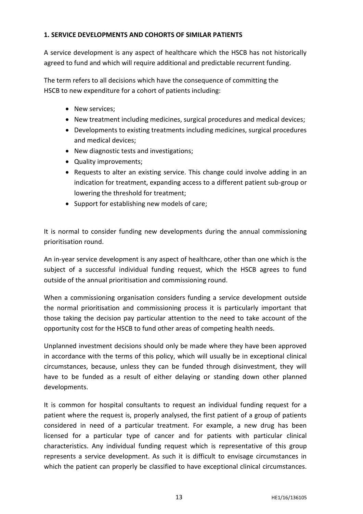### **1. SERVICE DEVELOPMENTS AND COHORTS OF SIMILAR PATIENTS**

A service development is any aspect of healthcare which the HSCB has not historically agreed to fund and which will require additional and predictable recurrent funding.

The term refers to all decisions which have the consequence of committing the HSCB to new expenditure for a cohort of patients including:

- New services;
- New treatment including medicines, surgical procedures and medical devices;
- Developments to existing treatments including medicines, surgical procedures and medical devices;
- New diagnostic tests and investigations;
- Quality improvements;
- Requests to alter an existing service. This change could involve adding in an indication for treatment, expanding access to a different patient sub-group or lowering the threshold for treatment;
- Support for establishing new models of care;

It is normal to consider funding new developments during the annual commissioning prioritisation round.

An in-year service development is any aspect of healthcare, other than one which is the subject of a successful individual funding request, which the HSCB agrees to fund outside of the annual prioritisation and commissioning round.

When a commissioning organisation considers funding a service development outside the normal prioritisation and commissioning process it is particularly important that those taking the decision pay particular attention to the need to take account of the opportunity cost for the HSCB to fund other areas of competing health needs.

Unplanned investment decisions should only be made where they have been approved in accordance with the terms of this policy, which will usually be in exceptional clinical circumstances, because, unless they can be funded through disinvestment, they will have to be funded as a result of either delaying or standing down other planned developments.

It is common for hospital consultants to request an individual funding request for a patient where the request is, properly analysed, the first patient of a group of patients considered in need of a particular treatment. For example, a new drug has been licensed for a particular type of cancer and for patients with particular clinical characteristics. Any individual funding request which is representative of this group represents a service development. As such it is difficult to envisage circumstances in which the patient can properly be classified to have exceptional clinical circumstances.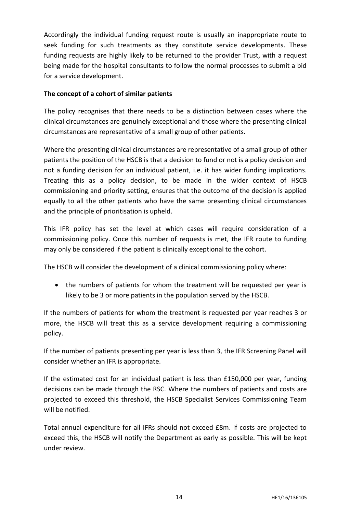Accordingly the individual funding request route is usually an inappropriate route to seek funding for such treatments as they constitute service developments. These funding requests are highly likely to be returned to the provider Trust, with a request being made for the hospital consultants to follow the normal processes to submit a bid for a service development.

# **The concept of a cohort of similar patients**

The policy recognises that there needs to be a distinction between cases where the clinical circumstances are genuinely exceptional and those where the presenting clinical circumstances are representative of a small group of other patients.

Where the presenting clinical circumstances are representative of a small group of other patients the position of the HSCB is that a decision to fund or not is a policy decision and not a funding decision for an individual patient, i.e. it has wider funding implications. Treating this as a policy decision, to be made in the wider context of HSCB commissioning and priority setting, ensures that the outcome of the decision is applied equally to all the other patients who have the same presenting clinical circumstances and the principle of prioritisation is upheld.

This IFR policy has set the level at which cases will require consideration of a commissioning policy. Once this number of requests is met, the IFR route to funding may only be considered if the patient is clinically exceptional to the cohort.

The HSCB will consider the development of a clinical commissioning policy where:

 the numbers of patients for whom the treatment will be requested per year is likely to be 3 or more patients in the population served by the HSCB.

If the numbers of patients for whom the treatment is requested per year reaches 3 or more, the HSCB will treat this as a service development requiring a commissioning policy.

If the number of patients presenting per year is less than 3, the IFR Screening Panel will consider whether an IFR is appropriate.

If the estimated cost for an individual patient is less than £150,000 per year, funding decisions can be made through the RSC. Where the numbers of patients and costs are projected to exceed this threshold, the HSCB Specialist Services Commissioning Team will be notified.

Total annual expenditure for all IFRs should not exceed £8m. If costs are projected to exceed this, the HSCB will notify the Department as early as possible. This will be kept under review.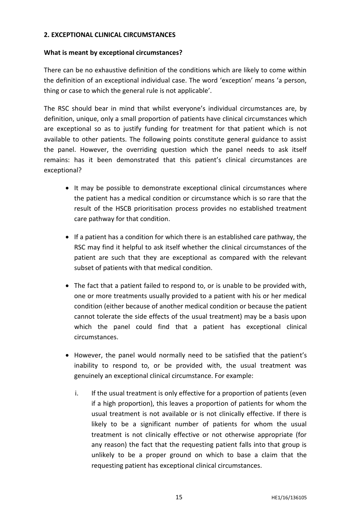#### **2. EXCEPTIONAL CLINICAL CIRCUMSTANCES**

#### **What is meant by exceptional circumstances?**

There can be no exhaustive definition of the conditions which are likely to come within the definition of an exceptional individual case. The word 'exception' means 'a person, thing or case to which the general rule is not applicable'.

The RSC should bear in mind that whilst everyone's individual circumstances are, by definition, unique, only a small proportion of patients have clinical circumstances which are exceptional so as to justify funding for treatment for that patient which is not available to other patients. The following points constitute general guidance to assist the panel. However, the overriding question which the panel needs to ask itself remains: has it been demonstrated that this patient's clinical circumstances are exceptional?

- It may be possible to demonstrate exceptional clinical circumstances where the patient has a medical condition or circumstance which is so rare that the result of the HSCB prioritisation process provides no established treatment care pathway for that condition.
- If a patient has a condition for which there is an established care pathway, the RSC may find it helpful to ask itself whether the clinical circumstances of the patient are such that they are exceptional as compared with the relevant subset of patients with that medical condition.
- The fact that a patient failed to respond to, or is unable to be provided with, one or more treatments usually provided to a patient with his or her medical condition (either because of another medical condition or because the patient cannot tolerate the side effects of the usual treatment) may be a basis upon which the panel could find that a patient has exceptional clinical circumstances.
- However, the panel would normally need to be satisfied that the patient's inability to respond to, or be provided with, the usual treatment was genuinely an exceptional clinical circumstance. For example:
	- i. If the usual treatment is only effective for a proportion of patients (even if a high proportion), this leaves a proportion of patients for whom the usual treatment is not available or is not clinically effective. If there is likely to be a significant number of patients for whom the usual treatment is not clinically effective or not otherwise appropriate (for any reason) the fact that the requesting patient falls into that group is unlikely to be a proper ground on which to base a claim that the requesting patient has exceptional clinical circumstances.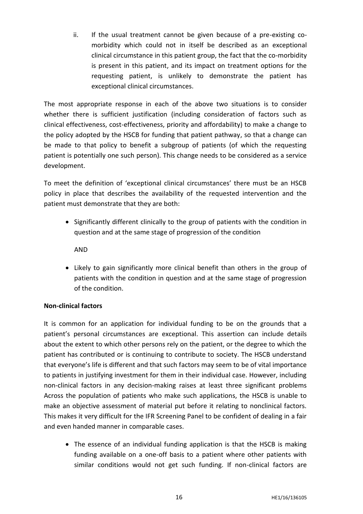ii. If the usual treatment cannot be given because of a pre-existing comorbidity which could not in itself be described as an exceptional clinical circumstance in this patient group, the fact that the co-morbidity is present in this patient, and its impact on treatment options for the requesting patient, is unlikely to demonstrate the patient has exceptional clinical circumstances.

The most appropriate response in each of the above two situations is to consider whether there is sufficient justification (including consideration of factors such as clinical effectiveness, cost-effectiveness, priority and affordability) to make a change to the policy adopted by the HSCB for funding that patient pathway, so that a change can be made to that policy to benefit a subgroup of patients (of which the requesting patient is potentially one such person). This change needs to be considered as a service development.

To meet the definition of 'exceptional clinical circumstances' there must be an HSCB policy in place that describes the availability of the requested intervention and the patient must demonstrate that they are both:

• Significantly different clinically to the group of patients with the condition in question and at the same stage of progression of the condition

AND

• Likely to gain significantly more clinical benefit than others in the group of patients with the condition in question and at the same stage of progression of the condition.

# **Non-clinical factors**

It is common for an application for individual funding to be on the grounds that a patient's personal circumstances are exceptional. This assertion can include details about the extent to which other persons rely on the patient, or the degree to which the patient has contributed or is continuing to contribute to society. The HSCB understand that everyone's life is different and that such factors may seem to be of vital importance to patients in justifying investment for them in their individual case. However, including non-clinical factors in any decision-making raises at least three significant problems Across the population of patients who make such applications, the HSCB is unable to make an objective assessment of material put before it relating to nonclinical factors. This makes it very difficult for the IFR Screening Panel to be confident of dealing in a fair and even handed manner in comparable cases.

• The essence of an individual funding application is that the HSCB is making funding available on a one-off basis to a patient where other patients with similar conditions would not get such funding. If non-clinical factors are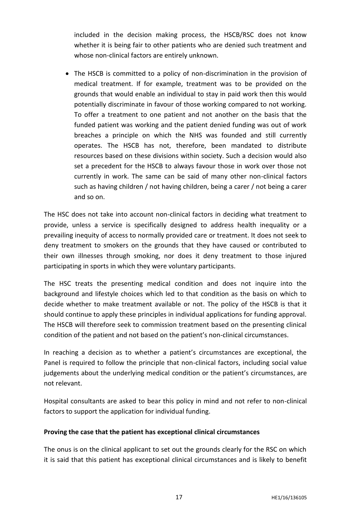included in the decision making process, the HSCB/RSC does not know whether it is being fair to other patients who are denied such treatment and whose non-clinical factors are entirely unknown.

 The HSCB is committed to a policy of non-discrimination in the provision of medical treatment. If for example, treatment was to be provided on the grounds that would enable an individual to stay in paid work then this would potentially discriminate in favour of those working compared to not working. To offer a treatment to one patient and not another on the basis that the funded patient was working and the patient denied funding was out of work breaches a principle on which the NHS was founded and still currently operates. The HSCB has not, therefore, been mandated to distribute resources based on these divisions within society. Such a decision would also set a precedent for the HSCB to always favour those in work over those not currently in work. The same can be said of many other non-clinical factors such as having children / not having children, being a carer / not being a carer and so on.

The HSC does not take into account non-clinical factors in deciding what treatment to provide, unless a service is specifically designed to address health inequality or a prevailing inequity of access to normally provided care or treatment. It does not seek to deny treatment to smokers on the grounds that they have caused or contributed to their own illnesses through smoking, nor does it deny treatment to those injured participating in sports in which they were voluntary participants.

The HSC treats the presenting medical condition and does not inquire into the background and lifestyle choices which led to that condition as the basis on which to decide whether to make treatment available or not. The policy of the HSCB is that it should continue to apply these principles in individual applications for funding approval. The HSCB will therefore seek to commission treatment based on the presenting clinical condition of the patient and not based on the patient's non-clinical circumstances.

In reaching a decision as to whether a patient's circumstances are exceptional, the Panel is required to follow the principle that non-clinical factors, including social value judgements about the underlying medical condition or the patient's circumstances, are not relevant.

Hospital consultants are asked to bear this policy in mind and not refer to non-clinical factors to support the application for individual funding.

# **Proving the case that the patient has exceptional clinical circumstances**

The onus is on the clinical applicant to set out the grounds clearly for the RSC on which it is said that this patient has exceptional clinical circumstances and is likely to benefit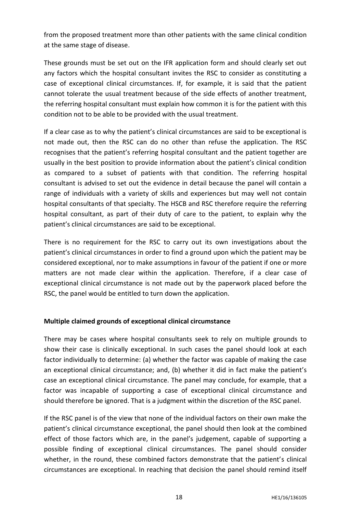from the proposed treatment more than other patients with the same clinical condition at the same stage of disease.

These grounds must be set out on the IFR application form and should clearly set out any factors which the hospital consultant invites the RSC to consider as constituting a case of exceptional clinical circumstances. If, for example, it is said that the patient cannot tolerate the usual treatment because of the side effects of another treatment, the referring hospital consultant must explain how common it is for the patient with this condition not to be able to be provided with the usual treatment.

If a clear case as to why the patient's clinical circumstances are said to be exceptional is not made out, then the RSC can do no other than refuse the application. The RSC recognises that the patient's referring hospital consultant and the patient together are usually in the best position to provide information about the patient's clinical condition as compared to a subset of patients with that condition. The referring hospital consultant is advised to set out the evidence in detail because the panel will contain a range of individuals with a variety of skills and experiences but may well not contain hospital consultants of that specialty. The HSCB and RSC therefore require the referring hospital consultant, as part of their duty of care to the patient, to explain why the patient's clinical circumstances are said to be exceptional.

There is no requirement for the RSC to carry out its own investigations about the patient's clinical circumstances in order to find a ground upon which the patient may be considered exceptional, nor to make assumptions in favour of the patient if one or more matters are not made clear within the application. Therefore, if a clear case of exceptional clinical circumstance is not made out by the paperwork placed before the RSC, the panel would be entitled to turn down the application.

#### **Multiple claimed grounds of exceptional clinical circumstance**

There may be cases where hospital consultants seek to rely on multiple grounds to show their case is clinically exceptional. In such cases the panel should look at each factor individually to determine: (a) whether the factor was capable of making the case an exceptional clinical circumstance; and, (b) whether it did in fact make the patient's case an exceptional clinical circumstance. The panel may conclude, for example, that a factor was incapable of supporting a case of exceptional clinical circumstance and should therefore be ignored. That is a judgment within the discretion of the RSC panel.

If the RSC panel is of the view that none of the individual factors on their own make the patient's clinical circumstance exceptional, the panel should then look at the combined effect of those factors which are, in the panel's judgement, capable of supporting a possible finding of exceptional clinical circumstances. The panel should consider whether, in the round, these combined factors demonstrate that the patient's clinical circumstances are exceptional. In reaching that decision the panel should remind itself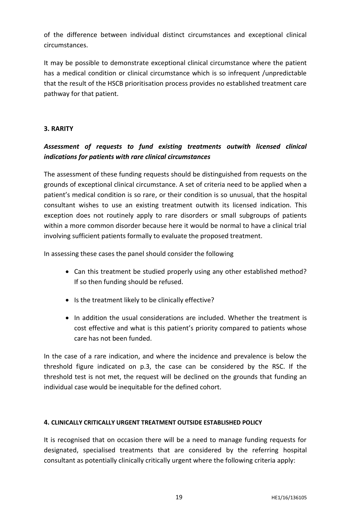of the difference between individual distinct circumstances and exceptional clinical circumstances.

It may be possible to demonstrate exceptional clinical circumstance where the patient has a medical condition or clinical circumstance which is so infrequent /unpredictable that the result of the HSCB prioritisation process provides no established treatment care pathway for that patient.

# **3. RARITY**

# *Assessment of requests to fund existing treatments outwith licensed clinical indications for patients with rare clinical circumstances*

The assessment of these funding requests should be distinguished from requests on the grounds of exceptional clinical circumstance. A set of criteria need to be applied when a patient's medical condition is so rare, or their condition is so unusual, that the hospital consultant wishes to use an existing treatment outwith its licensed indication. This exception does not routinely apply to rare disorders or small subgroups of patients within a more common disorder because here it would be normal to have a clinical trial involving sufficient patients formally to evaluate the proposed treatment.

In assessing these cases the panel should consider the following

- Can this treatment be studied properly using any other established method? If so then funding should be refused.
- Is the treatment likely to be clinically effective?
- In addition the usual considerations are included. Whether the treatment is cost effective and what is this patient's priority compared to patients whose care has not been funded.

In the case of a rare indication, and where the incidence and prevalence is below the threshold figure indicated on p.3, the case can be considered by the RSC. If the threshold test is not met, the request will be declined on the grounds that funding an individual case would be inequitable for the defined cohort.

# **4. CLINICALLY CRITICALLY URGENT TREATMENT OUTSIDE ESTABLISHED POLICY**

It is recognised that on occasion there will be a need to manage funding requests for designated, specialised treatments that are considered by the referring hospital consultant as potentially clinically critically urgent where the following criteria apply: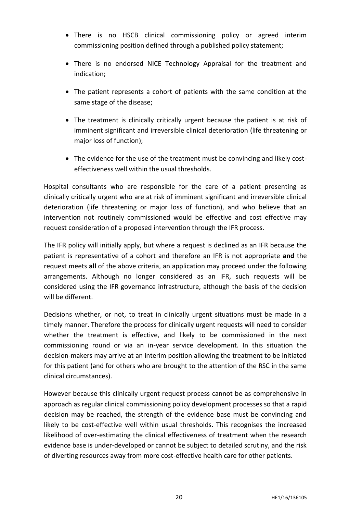- There is no HSCB clinical commissioning policy or agreed interim commissioning position defined through a published policy statement;
- There is no endorsed NICE Technology Appraisal for the treatment and indication;
- The patient represents a cohort of patients with the same condition at the same stage of the disease;
- The treatment is clinically critically urgent because the patient is at risk of imminent significant and irreversible clinical deterioration (life threatening or major loss of function);
- The evidence for the use of the treatment must be convincing and likely costeffectiveness well within the usual thresholds.

Hospital consultants who are responsible for the care of a patient presenting as clinically critically urgent who are at risk of imminent significant and irreversible clinical deterioration (life threatening or major loss of function), and who believe that an intervention not routinely commissioned would be effective and cost effective may request consideration of a proposed intervention through the IFR process.

The IFR policy will initially apply, but where a request is declined as an IFR because the patient is representative of a cohort and therefore an IFR is not appropriate **and** the request meets **all** of the above criteria, an application may proceed under the following arrangements. Although no longer considered as an IFR, such requests will be considered using the IFR governance infrastructure, although the basis of the decision will be different.

Decisions whether, or not, to treat in clinically urgent situations must be made in a timely manner. Therefore the process for clinically urgent requests will need to consider whether the treatment is effective, and likely to be commissioned in the next commissioning round or via an in-year service development. In this situation the decision-makers may arrive at an interim position allowing the treatment to be initiated for this patient (and for others who are brought to the attention of the RSC in the same clinical circumstances).

However because this clinically urgent request process cannot be as comprehensive in approach as regular clinical commissioning policy development processes so that a rapid decision may be reached, the strength of the evidence base must be convincing and likely to be cost-effective well within usual thresholds. This recognises the increased likelihood of over-estimating the clinical effectiveness of treatment when the research evidence base is under-developed or cannot be subject to detailed scrutiny, and the risk of diverting resources away from more cost-effective health care for other patients.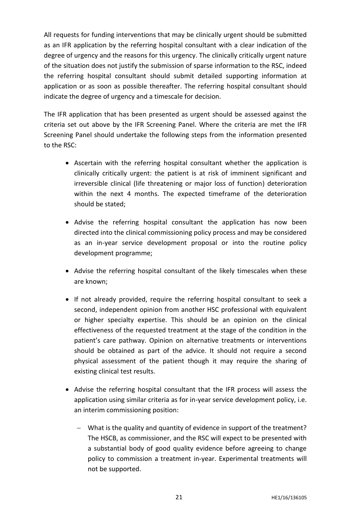All requests for funding interventions that may be clinically urgent should be submitted as an IFR application by the referring hospital consultant with a clear indication of the degree of urgency and the reasons for this urgency. The clinically critically urgent nature of the situation does not justify the submission of sparse information to the RSC, indeed the referring hospital consultant should submit detailed supporting information at application or as soon as possible thereafter. The referring hospital consultant should indicate the degree of urgency and a timescale for decision.

The IFR application that has been presented as urgent should be assessed against the criteria set out above by the IFR Screening Panel. Where the criteria are met the IFR Screening Panel should undertake the following steps from the information presented to the RSC:

- Ascertain with the referring hospital consultant whether the application is clinically critically urgent: the patient is at risk of imminent significant and irreversible clinical (life threatening or major loss of function) deterioration within the next 4 months. The expected timeframe of the deterioration should be stated;
- Advise the referring hospital consultant the application has now been directed into the clinical commissioning policy process and may be considered as an in-year service development proposal or into the routine policy development programme;
- Advise the referring hospital consultant of the likely timescales when these are known;
- If not already provided, require the referring hospital consultant to seek a second, independent opinion from another HSC professional with equivalent or higher specialty expertise. This should be an opinion on the clinical effectiveness of the requested treatment at the stage of the condition in the patient's care pathway. Opinion on alternative treatments or interventions should be obtained as part of the advice. It should not require a second physical assessment of the patient though it may require the sharing of existing clinical test results.
- Advise the referring hospital consultant that the IFR process will assess the application using similar criteria as for in-year service development policy, i.e. an interim commissioning position:
	- What is the quality and quantity of evidence in support of the treatment? The HSCB, as commissioner, and the RSC will expect to be presented with a substantial body of good quality evidence before agreeing to change policy to commission a treatment in-year. Experimental treatments will not be supported.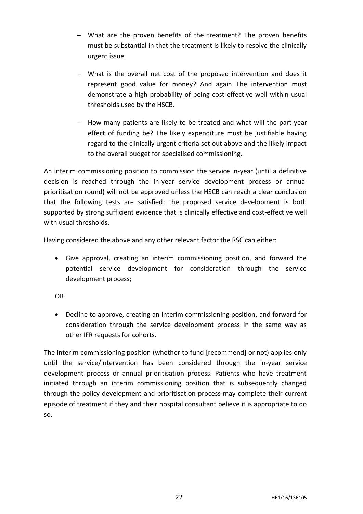- What are the proven benefits of the treatment? The proven benefits must be substantial in that the treatment is likely to resolve the clinically urgent issue.
- What is the overall net cost of the proposed intervention and does it represent good value for money? And again The intervention must demonstrate a high probability of being cost-effective well within usual thresholds used by the HSCB.
- $-$  How many patients are likely to be treated and what will the part-year effect of funding be? The likely expenditure must be justifiable having regard to the clinically urgent criteria set out above and the likely impact to the overall budget for specialised commissioning.

An interim commissioning position to commission the service in-year (until a definitive decision is reached through the in-year service development process or annual prioritisation round) will not be approved unless the HSCB can reach a clear conclusion that the following tests are satisfied: the proposed service development is both supported by strong sufficient evidence that is clinically effective and cost-effective well with usual thresholds.

Having considered the above and any other relevant factor the RSC can either:

 Give approval, creating an interim commissioning position, and forward the potential service development for consideration through the service development process;

OR

 Decline to approve, creating an interim commissioning position, and forward for consideration through the service development process in the same way as other IFR requests for cohorts.

The interim commissioning position (whether to fund [recommend] or not) applies only until the service/intervention has been considered through the in-year service development process or annual prioritisation process. Patients who have treatment initiated through an interim commissioning position that is subsequently changed through the policy development and prioritisation process may complete their current episode of treatment if they and their hospital consultant believe it is appropriate to do so.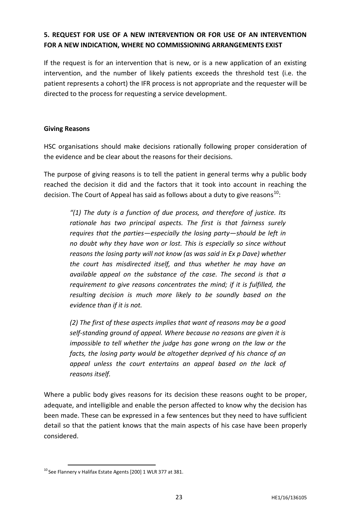# **5. REQUEST FOR USE OF A NEW INTERVENTION OR FOR USE OF AN INTERVENTION FOR A NEW INDICATION, WHERE NO COMMISSIONING ARRANGEMENTS EXIST**

If the request is for an intervention that is new, or is a new application of an existing intervention, and the number of likely patients exceeds the threshold test (i.e. the patient represents a cohort) the IFR process is not appropriate and the requester will be directed to the process for requesting a service development.

#### **Giving Reasons**

HSC organisations should make decisions rationally following proper consideration of the evidence and be clear about the reasons for their decisions.

The purpose of giving reasons is to tell the patient in general terms why a public body reached the decision it did and the factors that it took into account in reaching the decision. The Court of Appeal has said as follows about a duty to give reasons<sup>10</sup>:

*"(1) The duty is a function of due process, and therefore of justice. Its rationale has two principal aspects. The first is that fairness surely requires that the parties—especially the losing party—should be left in no doubt why they have won or lost. This is especially so since without reasons the losing party will not know (as was said in Ex p Dave) whether the court has misdirected itself, and thus whether he may have an available appeal on the substance of the case. The second is that a requirement to give reasons concentrates the mind; if it is fulfilled, the resulting decision is much more likely to be soundly based on the evidence than if it is not.*

*(2) The first of these aspects implies that want of reasons may be a good self-standing ground of appeal. Where because no reasons are given it is impossible to tell whether the judge has gone wrong on the law or the facts, the losing party would be altogether deprived of his chance of an appeal unless the court entertains an appeal based on the lack of reasons itself.*

Where a public body gives reasons for its decision these reasons ought to be proper, adequate, and intelligible and enable the person affected to know why the decision has been made. These can be expressed in a few sentences but they need to have sufficient detail so that the patient knows that the main aspects of his case have been properly considered.

**<sup>.</sup>**  $10$  See Flannery v Halifax Estate Agents [200] 1 WLR 377 at 381.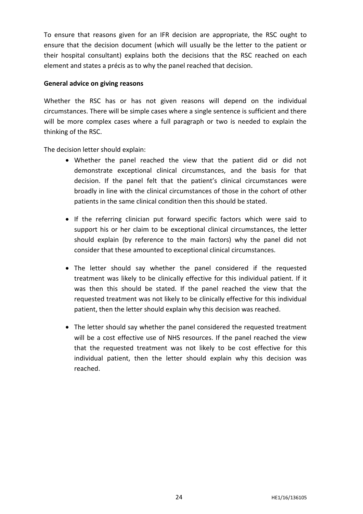To ensure that reasons given for an IFR decision are appropriate, the RSC ought to ensure that the decision document (which will usually be the letter to the patient or their hospital consultant) explains both the decisions that the RSC reached on each element and states a précis as to why the panel reached that decision.

#### **General advice on giving reasons**

Whether the RSC has or has not given reasons will depend on the individual circumstances. There will be simple cases where a single sentence is sufficient and there will be more complex cases where a full paragraph or two is needed to explain the thinking of the RSC.

The decision letter should explain:

- Whether the panel reached the view that the patient did or did not demonstrate exceptional clinical circumstances, and the basis for that decision. If the panel felt that the patient's clinical circumstances were broadly in line with the clinical circumstances of those in the cohort of other patients in the same clinical condition then this should be stated.
- If the referring clinician put forward specific factors which were said to support his or her claim to be exceptional clinical circumstances, the letter should explain (by reference to the main factors) why the panel did not consider that these amounted to exceptional clinical circumstances.
- The letter should say whether the panel considered if the requested treatment was likely to be clinically effective for this individual patient. If it was then this should be stated. If the panel reached the view that the requested treatment was not likely to be clinically effective for this individual patient, then the letter should explain why this decision was reached.
- The letter should say whether the panel considered the requested treatment will be a cost effective use of NHS resources. If the panel reached the view that the requested treatment was not likely to be cost effective for this individual patient, then the letter should explain why this decision was reached.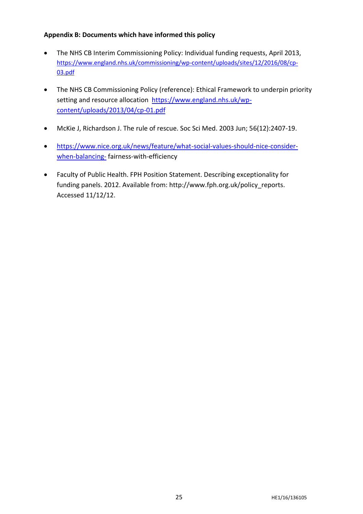# **Appendix B: Documents which have informed this policy**

- The NHS CB Interim Commissioning Policy: Individual funding requests, April 2013, [https://www.england.nhs.uk/commissioning/wp-content/uploads/sites/12/2016/08/cp-](https://www.england.nhs.uk/commissioning/wp-content/uploads/sites/12/2016/08/cp-03.pdf)[03.pdf](https://www.england.nhs.uk/commissioning/wp-content/uploads/sites/12/2016/08/cp-03.pdf)
- The NHS CB Commissioning Policy (reference): Ethical Framework to underpin priority setting and resource allocation [https://www.england.nhs.uk/wp](https://www.england.nhs.uk/wp-content/uploads/2013/04/cp-01.pdf)[content/uploads/2013/04/cp-01.pdf](https://www.england.nhs.uk/wp-content/uploads/2013/04/cp-01.pdf)
- McKie J, Richardson J. The rule of rescue. Soc Sci Med. 2003 Jun; 56(12):2407-19.
- [https://www.nice.org.uk/news/feature/what-social-values-should-nice-consider](https://www.nice.org.uk/news/feature/what-social-values-should-nice-consider-when-balancing-)[when-balancing-](https://www.nice.org.uk/news/feature/what-social-values-should-nice-consider-when-balancing-) fairness-with-efficiency
- Faculty of Public Health. FPH Position Statement. Describing exceptionality for funding panels. 2012. Available from: http://www.fph.org.uk/policy\_reports. Accessed 11/12/12.